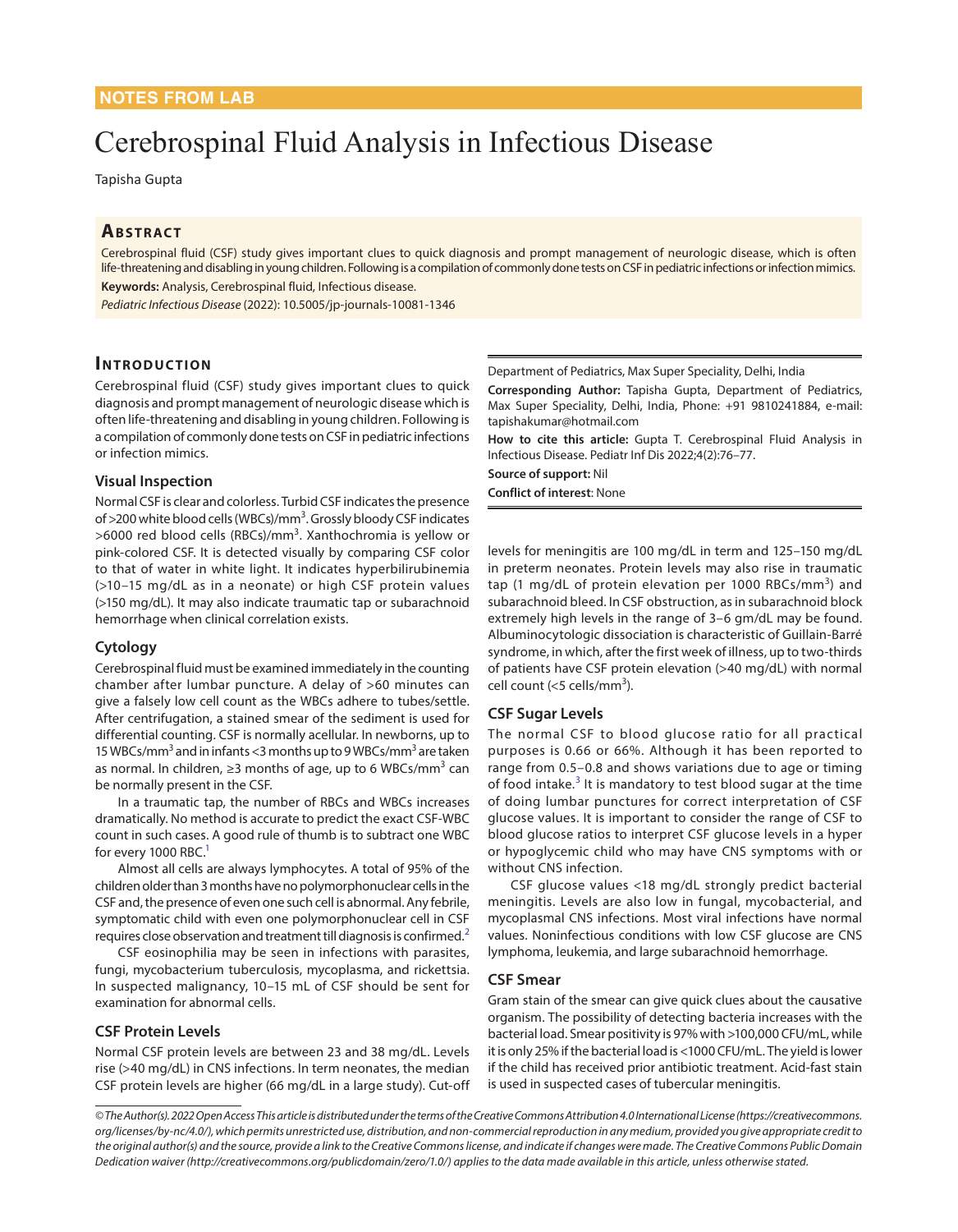# Cerebrospinal Fluid Analysis in Infectious Disease

Tapisha Gupta

# **ABSTRACT**

Cerebrospinal fluid (CSF) study gives important clues to quick diagnosis and prompt management of neurologic disease, which is often life-threatening and disabling in young children. Following is a compilation of commonly done tests on CSF in pediatric infections or infection mimics. **Keywords:** Analysis, Cerebrospinal fluid, Infectious disease.

*Pediatric Infectious Disease* (2022): 10.5005/jp-journals-10081-1346

## **Introduc tion**

Cerebrospinal fluid (CSF) study gives important clues to quick diagnosis and prompt management of neurologic disease which is often life-threatening and disabling in young children. Following is a compilation of commonly done tests on CSF in pediatric infections or infection mimics.

#### **Visual Inspection**

Normal CSF is clear and colorless. Turbid CSF indicates the presence of >200 white blood cells (WBCs)/mm<sup>3</sup>. Grossly bloody CSF indicates >6000 red blood cells (RBCs)/mm<sup>3</sup>. Xanthochromia is yellow or pink-colored CSF. It is detected visually by comparing CSF color to that of water in white light. It indicates hyperbilirubinemia (>10–15 mg/dL as in a neonate) or high CSF protein values (>150 mg/dL). It may also indicate traumatic tap or subarachnoid hemorrhage when clinical correlation exists.

#### **Cytology**

Cerebrospinal fluid must be examined immediately in the counting chamber after lumbar puncture. A delay of >60 minutes can give a falsely low cell count as the WBCs adhere to tubes/settle. After centrifugation, a stained smear of the sediment is used for differential counting. CSF is normally acellular. In newborns, up to 15 WBCs/mm<sup>3</sup> and in infants <3 months up to 9 WBCs/mm<sup>3</sup> are taken as normal. In children, ≥3 months of age, up to 6 WBCs/mm<sup>3</sup> can be normally present in the CSF.

In a traumatic tap, the number of RBCs and WBCs increases dramatically. No method is accurate to predict the exact CSF-WBC count in such cases. A good rule of thumb is to subtract one WBC for every 1000 RBC.<sup>1</sup>

Almost all cells are always lymphocytes. A total of 95% of the children older than 3 months have no polymorphonuclear cells in the CSF and, the presence of even one such cell is abnormal. Any febrile, symptomatic child with even one polymorphonuclear cell in CSF requires close observation and treatment till diagnosis is confirmed.<sup>[2](#page-1-2)</sup>

CSF eosinophilia may be seen in infections with parasites, fungi, mycobacterium tuberculosis, mycoplasma, and rickettsia. In suspected malignancy, 10–15 mL of CSF should be sent for examination for abnormal cells.

## **CSF Protein Levels**

Normal CSF protein levels are between 23 and 38 mg/dL. Levels rise (>40 mg/dL) in CNS infections. In term neonates, the median CSF protein levels are higher (66 mg/dL in a large study). Cut-off Department of Pediatrics, Max Super Speciality, Delhi, India

**Corresponding Author:** Tapisha Gupta, Department of Pediatrics, Max Super Speciality, Delhi, India, Phone: +91 9810241884, e-mail: tapishakumar@hotmail.com

**How to cite this article:** Gupta T. Cerebrospinal Fluid Analysis in Infectious Disease. Pediatr Inf Dis 2022;4(2):76–77.

**Source of support:** Nil **Conflict of interest**: None

levels for meningitis are 100 mg/dL in term and 125–150 mg/dL in preterm neonates. Protein levels may also rise in traumatic tap (1 mg/dL of protein elevation per 1000 RBCs/mm<sup>3</sup>) and subarachnoid bleed. In CSF obstruction, as in subarachnoid block extremely high levels in the range of 3–6 gm/dL may be found. Albuminocytologic dissociation is characteristic of Guillain-Barré syndrome, in which, after the first week of illness, up to two-thirds of patients have CSF protein elevation (>40 mg/dL) with normal cell count (<5 cells/mm<sup>3</sup>).

#### **CSF Sugar Levels**

<span id="page-0-2"></span>The normal CSF to blood glucose ratio for all practical purposes is 0.66 or 66%. Although it has been reported to range from 0.5–0.8 and shows variations due to age or timing of food intake.<sup>[3](#page-1-0)</sup> It is mandatory to test blood sugar at the time of doing lumbar punctures for correct interpretation of CSF glucose values. It is important to consider the range of CSF to blood glucose ratios to interpret CSF glucose levels in a hyper or hypoglycemic child who may have CNS symptoms with or without CNS infection.

<span id="page-0-1"></span><span id="page-0-0"></span>CSF glucose values <18 mg/dL strongly predict bacterial meningitis. Levels are also low in fungal, mycobacterial, and mycoplasmal CNS infections. Most viral infections have normal values. Noninfectious conditions with low CSF glucose are CNS lymphoma, leukemia, and large subarachnoid hemorrhage.

#### **CSF Smear**

Gram stain of the smear can give quick clues about the causative organism. The possibility of detecting bacteria increases with the bacterial load. Smear positivity is 97% with >100,000 CFU/mL, while it is only 25% if the bacterial load is <1000 CFU/mL. The yield is lower if the child has received prior antibiotic treatment. Acid-fast stain is used in suspected cases of tubercular meningitis.

*© The Author(s). 2022 Open Access This article is distributed under the terms of the Creative Commons Attribution 4.0 International License (https://creativecommons. org/licenses/by-nc/4.0/), which permits unrestricted use, distribution, and non-commercial reproduction in any medium, provided you give appropriate credit to the original author(s) and the source, provide a link to the Creative Commons license, and indicate if changes were made. The Creative Commons Public Domain Dedication waiver (http://creativecommons.org/publicdomain/zero/1.0/) applies to the data made available in this article, unless otherwise stated.*